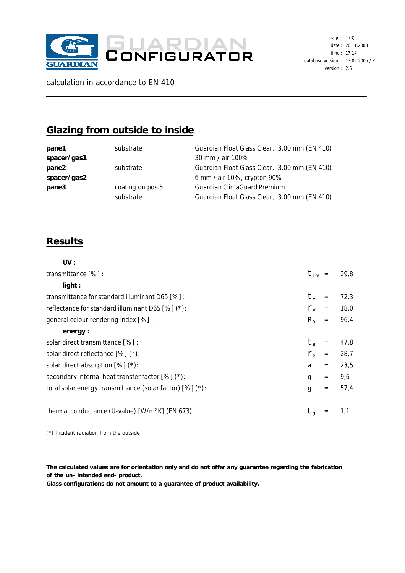

calculation in accordance to EN 410

## **Glazing from outside to inside**

| pane1       | substrate        | Guardian Float Glass Clear, 3.00 mm (EN 410) |
|-------------|------------------|----------------------------------------------|
| spacer/gas1 |                  | 30 mm / air 100%                             |
| pane2       | substrate        | Guardian Float Glass Clear, 3.00 mm (EN 410) |
| spacer/gas2 |                  | 6 mm / air 10%, crypton 90%                  |
| pane3       | coating on pos.5 | Guardian ClimaGuard Premium                  |
|             | substrate        | Guardian Float Glass Clear, 3.00 mm (EN 410) |
|             |                  |                                              |

## **Results**

| UV :                                                         |                                  |                                     |      |
|--------------------------------------------------------------|----------------------------------|-------------------------------------|------|
| transmittance [%] :                                          | $\tau_{UV}$ =                    |                                     | 29,8 |
| light:                                                       |                                  |                                     |      |
| transmittance for standard illuminant D65 [%] :              | $\tau_{\scriptscriptstyle\rm V}$ | $=$                                 | 72,3 |
| reflectance for standard illuminant D65 [%] (*):             | $\rho_v$                         | $\hspace*{0.4em} = \hspace*{0.4em}$ | 18,0 |
| general colour rendering index [%] :                         | $R_{a}$                          | $\,=\,$                             | 96,4 |
| energy:                                                      |                                  |                                     |      |
| solar direct transmittance [%] :                             | $\tau_{\textrm{\tiny e}}$        | $=$                                 | 47,8 |
| solar direct reflectance $[%]$ (*):                          | $\rho_{\rm e}$                   | $=$                                 | 28,7 |
| solar direct absorption $[%]$ (*):                           | a                                | $=$                                 | 23,5 |
| secondary internal heat transfer factor [%] (*):             | $q_i$                            | $=$                                 | 9,6  |
| total solar energy transmittance (solar factor) [%] (*):     | g                                | $=$                                 | 57,4 |
|                                                              |                                  |                                     |      |
| thermal conductance (U-value) [W/m <sup>2</sup> K] (EN 673): | $U_{\alpha}$                     |                                     | 1,1  |
|                                                              |                                  |                                     |      |

(\*) Incident radiation from the outside

**The calculated values are for orientation only and do not offer any guarantee regarding the fabrication of the un- intended end- product.**

**Glass configurations do not amount to a guarantee of product availability.**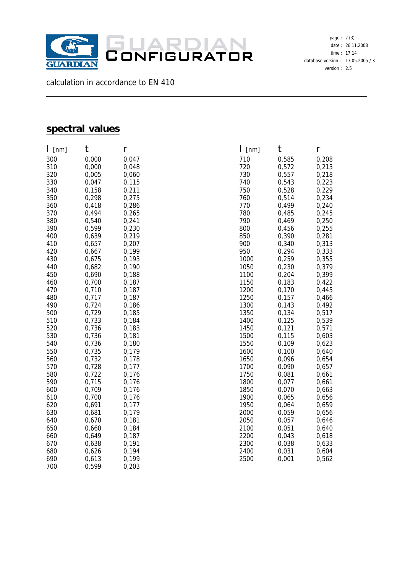

calculation in accordance to EN 410

## **spectral values**

| I<br>[nm]  | t              | r              |
|------------|----------------|----------------|
| 300        | 0,000          | 0,047          |
| 310        | 0,000          | 0,048          |
| 320        | 0,005          | 0,060          |
| 330        | 0,047          | 0,115          |
| 340        | 0,158          | 0,211          |
| 350        | 0,298          | 0,275          |
| 360        | 0,418          | 0,286          |
| 370        | 0,494          | 0,265          |
| 380        | 0,540          | 0,241          |
| 390        | 0,599          | 0,230          |
| 400        | 0,639          | 0,219          |
| 410        | 0,657          | 0,207          |
| 420        | 0,667          | 0,199          |
| 430        | 0,675          | 0,193          |
| 440        | 0,682          | 0,190          |
| 450        | 0,690          | 0,188          |
| 460        | 0,700          | 0,187          |
| 470        | 0,710          | 0,187          |
| 480        | 0,717          | 0,187          |
| 490        | 0,724          | 0,186          |
| 500        | 0,729          | 0,185          |
| 510        | 0,733          | 0,184          |
| 520        | 0,736          | 0,183          |
| 530        | 0,736          | 0,181          |
| 540        | 0,736          | 0,180          |
| 550        | 0,735          | 0,179          |
| 560        | 0,732          | 0,178          |
| 570        | 0,728          | 0,177          |
| 580        | 0,722          | 0,176          |
| 590        | 0,715          | 0,176          |
| 600        | 0,709          | 0,176          |
| 610        | 0,700          | 0,176          |
| 620        | 0,691          | 0,177          |
| 630        | 0,681          | 0,179          |
| 640        | 0,670          | 0,181          |
| 650        | 0,660          | 0,184          |
| 660<br>670 | 0,649<br>0,638 | 0,187<br>0,191 |
| 680        | 0,626          | 0,194          |
| 690        | 0,613          | 0,199          |
| 700        | 0,599          | 0,203          |
|            |                |                |

| $\mathsf{l}\,$ [nm] | t              | r              |
|---------------------|----------------|----------------|
| 710                 | 0,585          | 0,208          |
| 720                 | 0,572          | 0,213          |
| 730                 | 0,557          | 0,218          |
| 740                 | 0,543          | 0,223          |
| 750                 | 0,528          | 0,229          |
| 760                 | 0,514          | 0,234          |
| 770                 | 0,499          | 0,240          |
| 780                 | 0,485          | 0,245          |
| 790                 | 0,469          | 0,250          |
| 800                 | 0,456          | 0,255          |
| 850                 | 0,390          | 0,281          |
| 900<br>950          | 0,340<br>0,294 | 0,313<br>0,333 |
| 1000                | 0,259          | 0,355          |
| 1050                | 0,230          | 0,379          |
| 1100                | 0,204          | 0,399          |
| 1150                | 0,183          | 0,422          |
| 1200                | 0,170          | 0,445          |
| 1250                | 0,157          | 0,466          |
| 1300                | 0,143          | 0,492          |
| 1350                | 0,134          | 0,517          |
| 1400                | 0,125          | 0,539          |
| 1450                | 0,121          | 0,571          |
| 1500                | 0,115          | 0,603          |
| 1550                | 0,109          | 0,623          |
| 1600                | 0,100          | 0,640          |
| 1650                | 0,096          | 0,654          |
| 1700                | 0,090          | 0,657          |
| 1750<br>1800        | 0,081<br>0,077 | 0,661<br>0,661 |
| 1850                | 0,070          | 0,663          |
| 1900                | 0,065          | 0,656          |
| 1950                | 0,064          | 0,659          |
| 2000                | 0,059          | 0,656          |
| 2050                | 0,057          | 0,646          |
| 2100                | 0,051          | 0,640          |
| 2200                | 0,043          | 0,618          |
| 2300                | 0,038          | 0,633          |
| 2400                | 0,031          | 0,604          |
| 2500                | 0,001          | 0,562          |